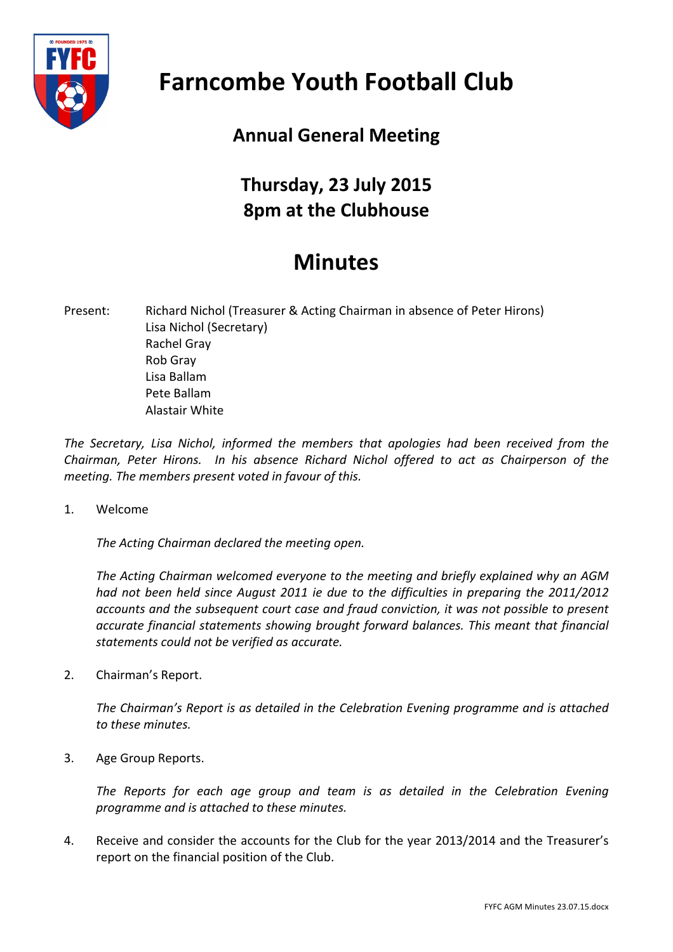

## **Farncombe Youth Football Club**

## **Annual General Meeting**

## **Thursday, 23 July 2015 8pm at the Clubhouse**

## **Minutes**

Present: Richard Nichol (Treasurer & Acting Chairman in absence of Peter Hirons) Lisa Nichol (Secretary) **Rachel Grav** Rob Gray Lisa Ballam Pete Ballam **Alastair White** 

The Secretary, Lisa Nichol, informed the members that apologies had been received from the *Chairman, Peter Hirons.* In his absence Richard Nichol offered to act as Chairperson of the *meeting. The members present voted in favour of this.* 

1. Welcome

The Acting Chairman declared the meeting open.

The Acting Chairman welcomed everyone to the meeting and briefly explained why an AGM had not been held since August 2011 ie due to the difficulties in preparing the 2011/2012 accounts and the subsequent court case and fraud conviction, it was not possible to present accurate financial statements showing brought forward balances. This meant that financial *statements could not be verified as accurate.*

2. Chairman's Report.

The Chairman's Report is as detailed in the Celebration Evening programme and is attached *to these minutes.*

3. Age Group Reports.

The Reports for each age group and team is as detailed in the Celebration Evening *programme and is attached to these minutes.*

4. Receive and consider the accounts for the Club for the year 2013/2014 and the Treasurer's report on the financial position of the Club.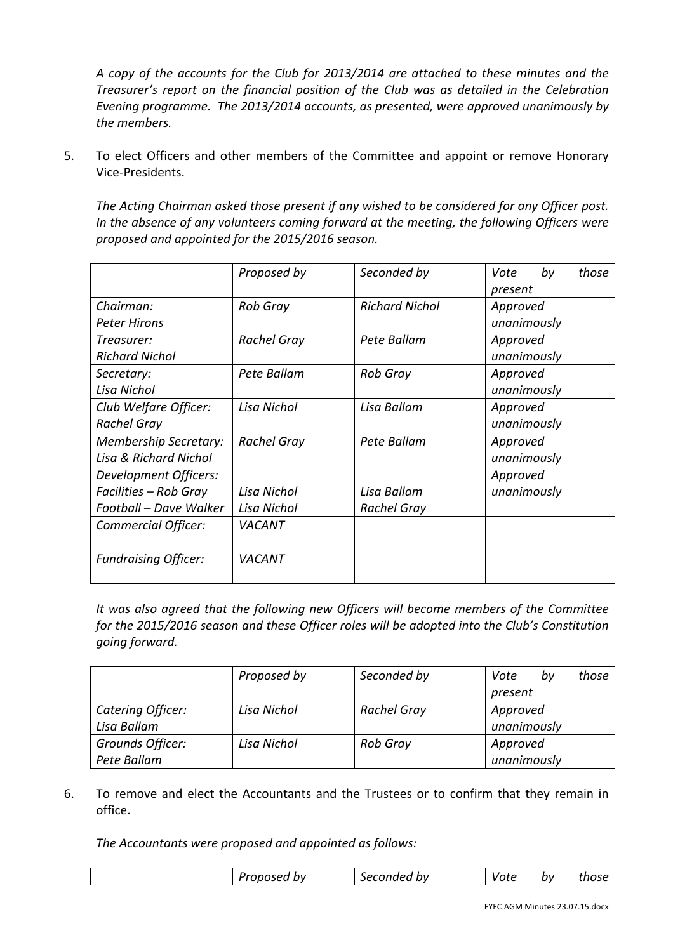*A copy of the accounts for the Club for 2013/2014 are attached to these minutes and the Treasurer's report on the financial position of the Club was as detailed in the Celebration* Evening programme. The 2013/2014 accounts, as presented, were approved unanimously by *the members.*

5. To elect Officers and other members of the Committee and appoint or remove Honorary Vice-Presidents.

The Acting Chairman asked those present if any wished to be considered for any Officer post. In the absence of any volunteers coming forward at the meeting, the following Officers were *proposed and appointed for the 2015/2016 season.*

|                                  | Proposed by        | Seconded by           | by<br>Vote<br>those |
|----------------------------------|--------------------|-----------------------|---------------------|
|                                  |                    |                       | present             |
| Chairman:                        | <b>Rob Gray</b>    | <b>Richard Nichol</b> | Approved            |
| <b>Peter Hirons</b>              |                    |                       | unanimously         |
| Treasurer:                       | <b>Rachel Gray</b> | Pete Ballam           | Approved            |
| <b>Richard Nichol</b>            |                    |                       | unanimously         |
| Secretary:                       | Pete Ballam        | <b>Rob Gray</b>       | Approved            |
| Lisa Nichol                      |                    |                       | unanimously         |
| Club Welfare Officer:            | Lisa Nichol        | Lisa Ballam           | Approved            |
| Rachel Gray                      |                    |                       | unanimously         |
| <b>Membership Secretary:</b>     | Rachel Gray        | Pete Ballam           | Approved            |
| <b>Lisa &amp; Richard Nichol</b> |                    |                       | unanimously         |
| Development Officers:            |                    |                       | Approved            |
| Facilities - Rob Gray            | Lisa Nichol        | Lisa Ballam           | unanimously         |
| Football - Dave Walker           | Lisa Nichol        | <b>Rachel Gray</b>    |                     |
| Commercial Officer:              | <b>VACANT</b>      |                       |                     |
|                                  |                    |                       |                     |
| <b>Fundraising Officer:</b>      | VACANT             |                       |                     |
|                                  |                    |                       |                     |

It was also agreed that the following new Officers will become members of the Committee *for the 2015/2016 season and these Officer roles will be adopted into the Club's Constitution going forward.*

|                   | Proposed by | Seconded by        | those<br>Vote<br>bv |
|-------------------|-------------|--------------------|---------------------|
|                   |             |                    | present             |
| Catering Officer: | Lisa Nichol | <b>Rachel Gray</b> | Approved            |
| Lisa Ballam       |             |                    | unanimously         |
| Grounds Officer:  | Lisa Nichol | <b>Rob Gray</b>    | Approved            |
| Pete Ballam       |             |                    | unanimously         |

6. To remove and elect the Accountants and the Trustees or to confirm that they remain in office.

The Accountants were proposed and appointed as follows:

|  |  | bν<br>.<br>.<br>.<br>. | bv<br>. പ<br>960°،<br>onnei | vote | bν | :hosu |
|--|--|------------------------|-----------------------------|------|----|-------|
|--|--|------------------------|-----------------------------|------|----|-------|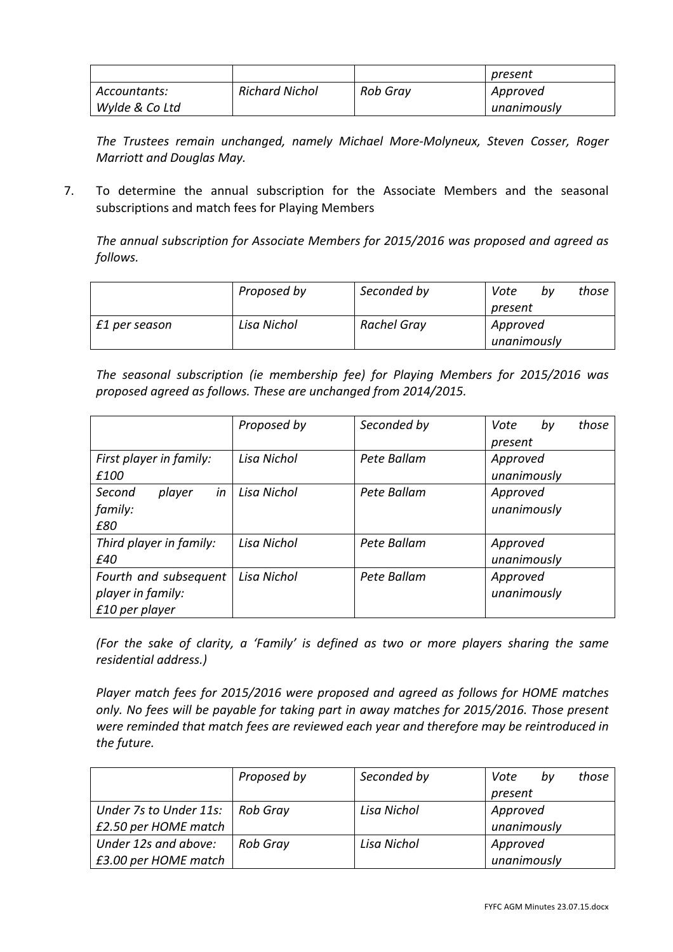|                |                       |          | present     |
|----------------|-----------------------|----------|-------------|
| Accountants:   | <b>Richard Nichol</b> | Rob Gray | Approved    |
| Wylde & Co Ltd |                       |          | unanimously |

The Trustees remain unchanged, namely Michael More-Molyneux, Steven Cosser, Roger *Marriott and Douglas May.* 

7. To determine the annual subscription for the Associate Members and the seasonal subscriptions and match fees for Playing Members

The annual subscription for Associate Members for 2015/2016 was proposed and agreed as *follows.*

|               | Proposed by | Seconded by | Vote        | bv | those |
|---------------|-------------|-------------|-------------|----|-------|
|               |             |             | present     |    |       |
| £1 per season | Lisa Nichol | Rachel Gray | Approved    |    |       |
|               |             |             | unanimously |    |       |

*The seasonal subscription (ie membership fee) for Playing Members for 2015/2016 was proposed agreed as follows. These are unchanged from 2014/2015.*

|                         | Proposed by | Seconded by | Vote<br>those<br>by |
|-------------------------|-------------|-------------|---------------------|
|                         |             |             | present             |
| First player in family: | Lisa Nichol | Pete Ballam | Approved            |
| £100                    |             |             | unanimously         |
| in<br>Second<br>player  | Lisa Nichol | Pete Ballam | Approved            |
| family:                 |             |             | unanimously         |
| £80                     |             |             |                     |
| Third player in family: | Lisa Nichol | Pete Ballam | Approved            |
| £40                     |             |             | unanimously         |
| Fourth and subsequent   | Lisa Nichol | Pete Ballam | Approved            |
| player in family:       |             |             | unanimously         |
| £10 per player          |             |             |                     |

*(For the sake of clarity, a 'Family' is defined as two or more players sharing the same residential address.)* 

Player match fees for 2015/2016 were proposed and agreed as follows for HOME matches only. No fees will be payable for taking part in away matches for 2015/2016. Those present were reminded that match fees are reviewed each year and therefore may be reintroduced in *the future.*

|                        | Proposed by     | Seconded by | Vote<br>bv  | those |
|------------------------|-----------------|-------------|-------------|-------|
|                        |                 |             | present     |       |
| Under 7s to Under 11s: | <b>Rob Gray</b> | Lisa Nichol | Approved    |       |
| £2.50 per HOME match   |                 |             | unanimously |       |
| Under 12s and above:   | <b>Rob Gray</b> | Lisa Nichol | Approved    |       |
| £3.00 per HOME match   |                 |             | unanimously |       |